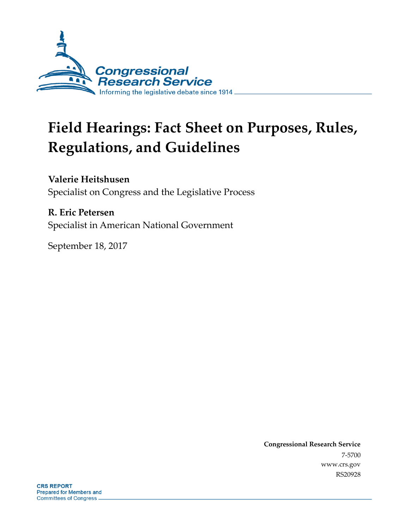

# **Field Hearings: Fact Sheet on Purposes, Rules, Regulations, and Guidelines**

**Valerie Heitshusen**

Specialist on Congress and the Legislative Process

#### **R. Eric Petersen**

Specialist in American National Government

September 18, 2017

**Congressional Research Service** 7-5700 www.crs.gov RS20928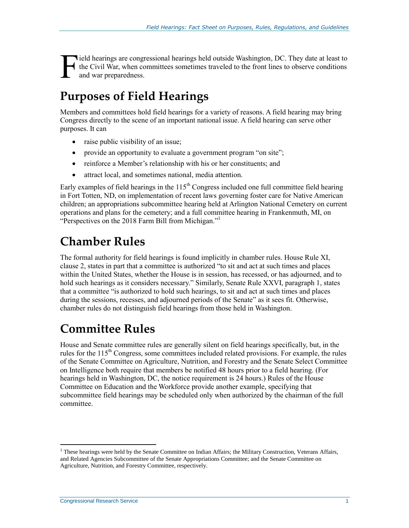lield hearings are congressional hearings held outside Washington, DC. They date at least to the Civil War, when committees sometimes traveled to the front lines to observe conditions and war preparedness. F

### **Purposes of Field Hearings**

Members and committees hold field hearings for a variety of reasons. A field hearing may bring Congress directly to the scene of an important national issue. A field hearing can serve other purposes. It can

- raise public visibility of an issue;
- provide an opportunity to evaluate a government program "on site";
- reinforce a Member's relationship with his or her constituents; and
- attract local, and sometimes national, media attention.

Early examples of field hearings in the  $115<sup>th</sup>$  Congress included one full committee field hearing in Fort Totten, ND, on implementation of recent laws governing foster care for Native American children; an appropriations subcommittee hearing held at Arlington National Cemetery on current operations and plans for the cemetery; and a full committee hearing in Frankenmuth, MI, on "Perspectives on the 2018 Farm Bill from Michigan."<sup>1</sup>

### **Chamber Rules**

The formal authority for field hearings is found implicitly in chamber rules. House Rule XI, clause 2, states in part that a committee is authorized "to sit and act at such times and places within the United States, whether the House is in session, has recessed, or has adjourned, and to hold such hearings as it considers necessary." Similarly, Senate Rule XXVI, paragraph 1, states that a committee "is authorized to hold such hearings, to sit and act at such times and places during the sessions, recesses, and adjourned periods of the Senate" as it sees fit. Otherwise, chamber rules do not distinguish field hearings from those held in Washington.

## **Committee Rules**

House and Senate committee rules are generally silent on field hearings specifically, but, in the rules for the 115<sup>th</sup> Congress, some committees included related provisions. For example, the rules of the Senate Committee on Agriculture, Nutrition, and Forestry and the Senate Select Committee on Intelligence both require that members be notified 48 hours prior to a field hearing. (For hearings held in Washington, DC, the notice requirement is 24 hours.) Rules of the House Committee on Education and the Workforce provide another example, specifying that subcommittee field hearings may be scheduled only when authorized by the chairman of the full committee.

 $\overline{a}$ 

<sup>&</sup>lt;sup>1</sup> These hearings were held by the Senate Committee on Indian Affairs; the Military Construction, Veterans Affairs, and Related Agencies Subcommittee of the Senate Appropriations Committee; and the Senate Committee on Agriculture, Nutrition, and Forestry Committee, respectively.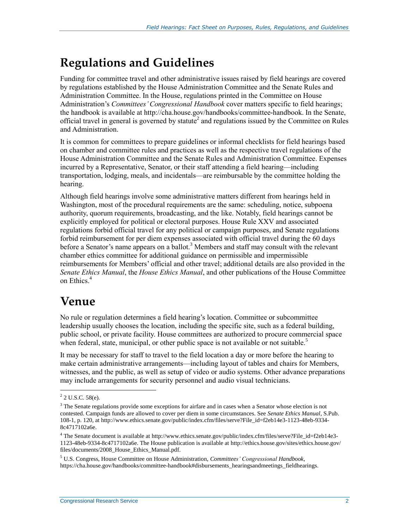# **Regulations and Guidelines**

Funding for committee travel and other administrative issues raised by field hearings are covered by regulations established by the House Administration Committee and the Senate Rules and Administration Committee. In the House, regulations printed in the Committee on House Administration's *Committees' Congressional Handbook* cover matters specific to field hearings; the handbook is available at http://cha.house.gov/handbooks/committee-handbook. In the Senate, official travel in general is governed by statute<sup>2</sup> and regulations issued by the Committee on Rules and Administration.

It is common for committees to prepare guidelines or informal checklists for field hearings based on chamber and committee rules and practices as well as the respective travel regulations of the House Administration Committee and the Senate Rules and Administration Committee. Expenses incurred by a Representative, Senator, or their staff attending a field hearing—including transportation, lodging, meals, and incidentals—are reimbursable by the committee holding the hearing.

Although field hearings involve some administrative matters different from hearings held in Washington, most of the procedural requirements are the same: scheduling, notice, subpoena authority, quorum requirements, broadcasting, and the like. Notably, field hearings cannot be explicitly employed for political or electoral purposes. House Rule XXV and associated regulations forbid official travel for any political or campaign purposes, and Senate regulations forbid reimbursement for per diem expenses associated with official travel during the 60 days before a Senator's name appears on a ballot.<sup>3</sup> Members and staff may consult with the relevant chamber ethics committee for additional guidance on permissible and impermissible reimbursements for Members' official and other travel; additional details are also provided in the *Senate Ethics Manual*, the *House Ethics Manual*, and other publications of the House Committee on Ethics.<sup>4</sup>

### **Venue**

No rule or regulation determines a field hearing's location. Committee or subcommittee leadership usually chooses the location, including the specific site, such as a federal building, public school, or private facility. House committees are authorized to procure commercial space when federal, state, municipal, or other public space is not available or not suitable.<sup>5</sup>

It may be necessary for staff to travel to the field location a day or more before the hearing to make certain administrative arrangements—including layout of tables and chairs for Members, witnesses, and the public, as well as setup of video or audio systems. Other advance preparations may include arrangements for security personnel and audio visual technicians.

 $\overline{a}$  $2$  U.S.C. 58(e).

<sup>&</sup>lt;sup>3</sup> The Senate regulations provide some exceptions for airfare and in cases when a Senator whose election is not contested. Campaign funds are allowed to cover per diem in some circumstances. See *Senate Ethics Manual*, S.Pub. 108-1, p. 120, at http://www.ethics.senate.gov/public/index.cfm/files/serve?File\_id=f2eb14e3-1123-48eb-9334- 8c4717102a6e.

<sup>4</sup> The Senate document is available at http://www.ethics.senate.gov/public/index.cfm/files/serve?File\_id=f2eb14e3- 1123-48eb-9334-8c4717102a6e. The House publication is available at http://ethics.house.gov/sites/ethics.house.gov/ files/documents/2008\_House\_Ethics\_Manual.pdf.

<sup>5</sup> U.S. Congress, House Committee on House Administration, *Committees' Congressional Handbook*, https://cha.house.gov/handbooks/committee-handbook#disbursements\_hearingsandmeetings\_fieldhearings.